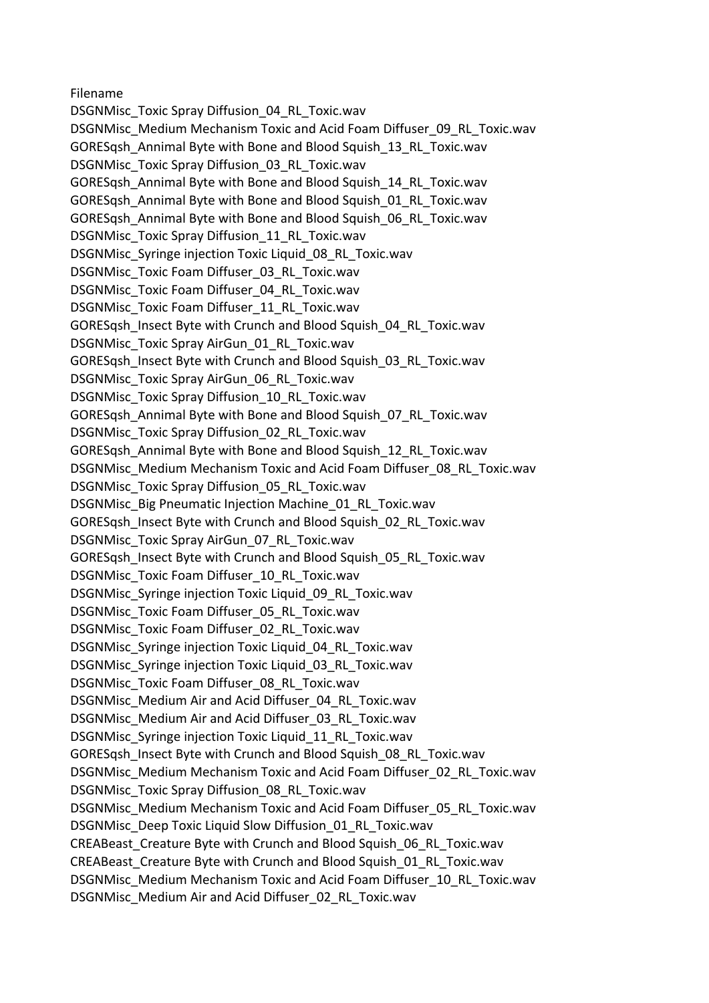Filename

DSGNMisc\_Toxic Spray Diffusion\_04\_RL\_Toxic.wav DSGNMisc\_Medium Mechanism Toxic and Acid Foam Diffuser\_09\_RL\_Toxic.wav GORESqsh\_Annimal Byte with Bone and Blood Squish\_13\_RL\_Toxic.wav DSGNMisc\_Toxic Spray Diffusion\_03\_RL\_Toxic.wav GORESash Annimal Byte with Bone and Blood Squish 14 RL Toxic.wav GORESqsh\_Annimal Byte with Bone and Blood Squish\_01\_RL\_Toxic.wav GORESash Annimal Byte with Bone and Blood Squish 06 RL Toxic.wav DSGNMisc\_Toxic Spray Diffusion\_11\_RL\_Toxic.wav DSGNMisc\_Syringe injection Toxic Liquid\_08\_RL\_Toxic.wav DSGNMisc\_Toxic Foam Diffuser\_03\_RL\_Toxic.wav DSGNMisc\_Toxic Foam Diffuser\_04\_RL\_Toxic.wav DSGNMisc\_Toxic Foam Diffuser\_11\_RL\_Toxic.wav GORESqsh\_Insect Byte with Crunch and Blood Squish\_04\_RL\_Toxic.wav DSGNMisc\_Toxic Spray AirGun\_01\_RL\_Toxic.wav GORESqsh\_Insect Byte with Crunch and Blood Squish\_03\_RL\_Toxic.wav DSGNMisc\_Toxic Spray AirGun\_06\_RL\_Toxic.wav DSGNMisc\_Toxic Spray Diffusion\_10\_RL\_Toxic.wav GORESqsh\_Annimal Byte with Bone and Blood Squish\_07\_RL\_Toxic.wav DSGNMisc\_Toxic Spray Diffusion\_02\_RL\_Toxic.wav GORESqsh\_Annimal Byte with Bone and Blood Squish\_12\_RL\_Toxic.wav DSGNMisc\_Medium Mechanism Toxic and Acid Foam Diffuser\_08\_RL\_Toxic.wav DSGNMisc\_Toxic Spray Diffusion\_05\_RL\_Toxic.wav DSGNMisc\_Big Pneumatic Injection Machine\_01\_RL\_Toxic.wav GORESqsh\_Insect Byte with Crunch and Blood Squish\_02\_RL\_Toxic.wav DSGNMisc\_Toxic Spray AirGun\_07\_RL\_Toxic.wav GORESqsh\_Insect Byte with Crunch and Blood Squish\_05\_RL\_Toxic.wav DSGNMisc\_Toxic Foam Diffuser\_10\_RL\_Toxic.wav DSGNMisc\_Syringe injection Toxic Liquid\_09\_RL\_Toxic.wav DSGNMisc\_Toxic Foam Diffuser\_05\_RL\_Toxic.wav DSGNMisc\_Toxic Foam Diffuser\_02\_RL\_Toxic.wav DSGNMisc\_Syringe injection Toxic Liquid\_04\_RL\_Toxic.wav DSGNMisc\_Syringe injection Toxic Liquid\_03\_RL\_Toxic.wav DSGNMisc\_Toxic Foam Diffuser\_08\_RL\_Toxic.wav DSGNMisc\_Medium Air and Acid Diffuser\_04\_RL\_Toxic.wav DSGNMisc\_Medium Air and Acid Diffuser\_03\_RL\_Toxic.wav DSGNMisc\_Syringe injection Toxic Liquid\_11\_RL\_Toxic.wav GORESqsh\_Insect Byte with Crunch and Blood Squish\_08\_RL\_Toxic.wav DSGNMisc\_Medium Mechanism Toxic and Acid Foam Diffuser\_02\_RL\_Toxic.wav DSGNMisc\_Toxic Spray Diffusion\_08\_RL\_Toxic.wav DSGNMisc\_Medium Mechanism Toxic and Acid Foam Diffuser\_05\_RL\_Toxic.wav DSGNMisc\_Deep Toxic Liquid Slow Diffusion\_01\_RL\_Toxic.wav CREABeast\_Creature Byte with Crunch and Blood Squish\_06\_RL\_Toxic.wav CREABeast\_Creature Byte with Crunch and Blood Squish\_01\_RL\_Toxic.wav DSGNMisc\_Medium Mechanism Toxic and Acid Foam Diffuser\_10\_RL\_Toxic.wav DSGNMisc\_Medium Air and Acid Diffuser\_02\_RL\_Toxic.wav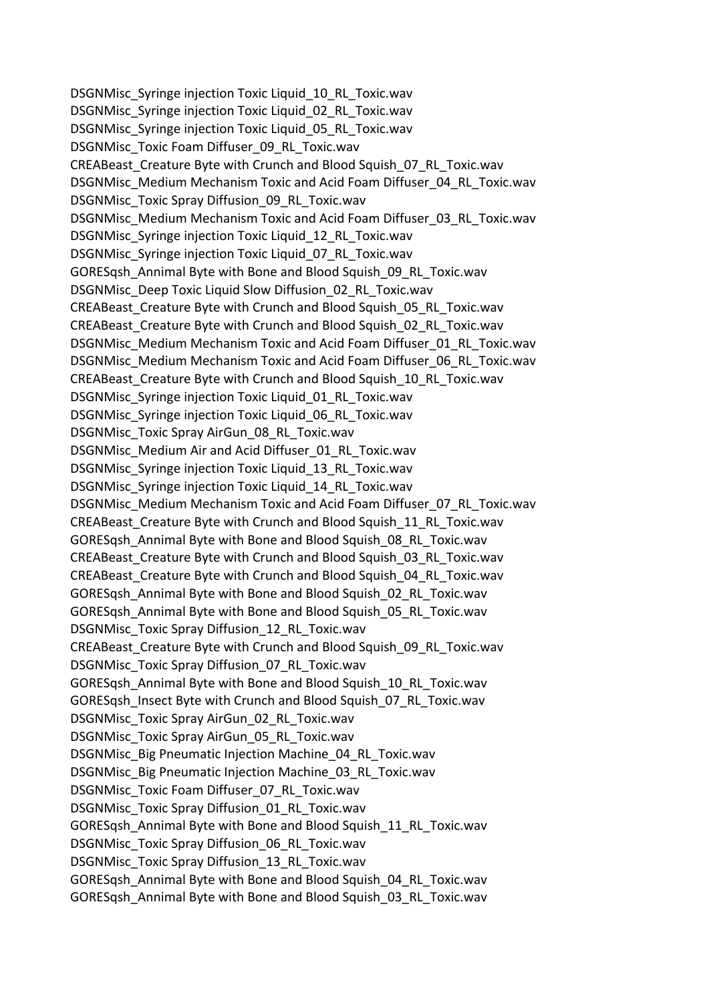DSGNMisc\_Syringe injection Toxic Liquid\_10\_RL\_Toxic.wav DSGNMisc\_Syringe injection Toxic Liquid\_02\_RL\_Toxic.wav DSGNMisc\_Syringe injection Toxic Liquid\_05\_RL\_Toxic.wav DSGNMisc\_Toxic Foam Diffuser\_09\_RL\_Toxic.wav CREABeast Creature Byte with Crunch and Blood Squish 07 RL Toxic.wav DSGNMisc\_Medium Mechanism Toxic and Acid Foam Diffuser\_04\_RL\_Toxic.wav DSGNMisc\_Toxic Spray Diffusion\_09\_RL\_Toxic.wav DSGNMisc\_Medium Mechanism Toxic and Acid Foam Diffuser\_03\_RL\_Toxic.wav DSGNMisc\_Syringe injection Toxic Liquid\_12\_RL\_Toxic.wav DSGNMisc\_Syringe injection Toxic Liquid\_07\_RL\_Toxic.wav GORESqsh\_Annimal Byte with Bone and Blood Squish\_09\_RL\_Toxic.wav DSGNMisc\_Deep Toxic Liquid Slow Diffusion\_02\_RL\_Toxic.wav CREABeast\_Creature Byte with Crunch and Blood Squish\_05\_RL\_Toxic.wav CREABeast Creature Byte with Crunch and Blood Squish 02 RL Toxic.wav DSGNMisc\_Medium Mechanism Toxic and Acid Foam Diffuser\_01\_RL\_Toxic.wav DSGNMisc\_Medium Mechanism Toxic and Acid Foam Diffuser\_06\_RL\_Toxic.wav CREABeast Creature Byte with Crunch and Blood Squish 10 RL Toxic.wav DSGNMisc\_Syringe injection Toxic Liquid\_01\_RL\_Toxic.wav DSGNMisc\_Syringe injection Toxic Liquid\_06\_RL\_Toxic.wav DSGNMisc\_Toxic Spray AirGun\_08\_RL\_Toxic.wav DSGNMisc\_Medium Air and Acid Diffuser\_01\_RL\_Toxic.wav DSGNMisc\_Syringe injection Toxic Liquid\_13\_RL\_Toxic.wav DSGNMisc\_Syringe injection Toxic Liquid\_14\_RL\_Toxic.wav DSGNMisc\_Medium Mechanism Toxic and Acid Foam Diffuser\_07\_RL\_Toxic.wav CREABeast Creature Byte with Crunch and Blood Squish 11 RL Toxic.wav GORESqsh\_Annimal Byte with Bone and Blood Squish\_08\_RL\_Toxic.wav CREABeast\_Creature Byte with Crunch and Blood Squish\_03\_RL\_Toxic.wav CREABeast Creature Byte with Crunch and Blood Squish 04 RL Toxic.wav GORESqsh\_Annimal Byte with Bone and Blood Squish\_02\_RL\_Toxic.wav GORESqsh\_Annimal Byte with Bone and Blood Squish\_05\_RL\_Toxic.wav DSGNMisc\_Toxic Spray Diffusion\_12\_RL\_Toxic.wav CREABeast\_Creature Byte with Crunch and Blood Squish\_09\_RL\_Toxic.wav DSGNMisc\_Toxic Spray Diffusion\_07\_RL\_Toxic.wav GORESqsh\_Annimal Byte with Bone and Blood Squish\_10\_RL\_Toxic.wav GORESqsh\_Insect Byte with Crunch and Blood Squish\_07\_RL\_Toxic.wav DSGNMisc\_Toxic Spray AirGun\_02\_RL\_Toxic.wav DSGNMisc\_Toxic Spray AirGun\_05\_RL\_Toxic.wav DSGNMisc\_Big Pneumatic Injection Machine\_04\_RL\_Toxic.wav DSGNMisc\_Big Pneumatic Injection Machine\_03\_RL\_Toxic.wav DSGNMisc\_Toxic Foam Diffuser\_07\_RL\_Toxic.wav DSGNMisc\_Toxic Spray Diffusion\_01\_RL\_Toxic.wav GORESqsh\_Annimal Byte with Bone and Blood Squish\_11\_RL\_Toxic.wav DSGNMisc\_Toxic Spray Diffusion\_06\_RL\_Toxic.wav DSGNMisc\_Toxic Spray Diffusion\_13\_RL\_Toxic.wav GORESqsh\_Annimal Byte with Bone and Blood Squish\_04\_RL\_Toxic.wav GORESqsh\_Annimal Byte with Bone and Blood Squish\_03\_RL\_Toxic.wav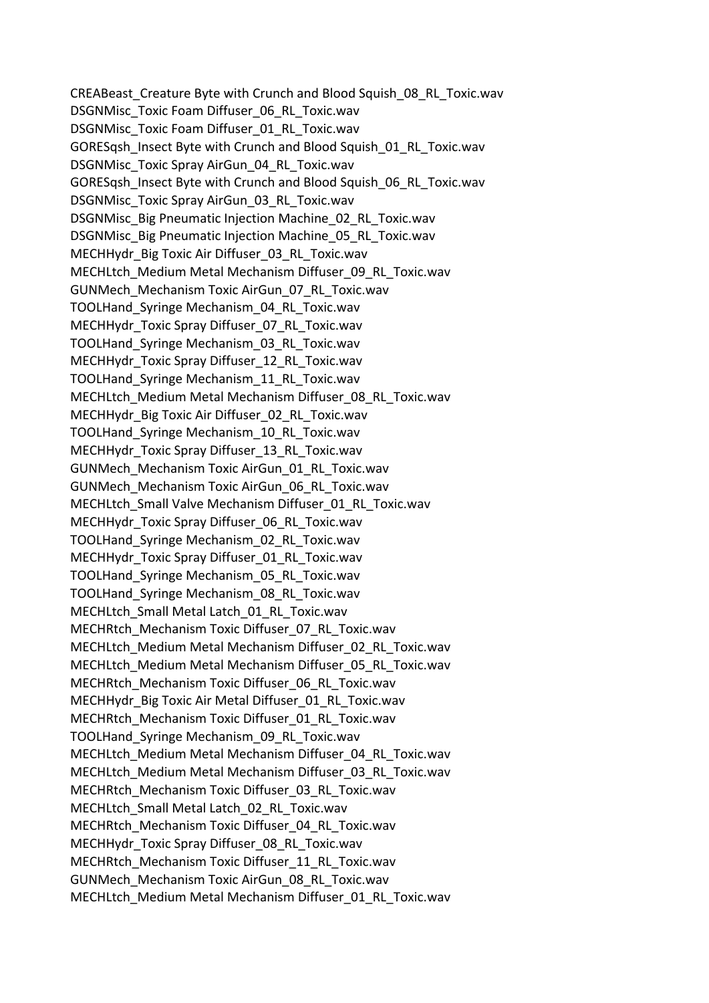CREABeast Creature Byte with Crunch and Blood Squish 08 RL Toxic.wav DSGNMisc\_Toxic Foam Diffuser\_06\_RL\_Toxic.wav DSGNMisc\_Toxic Foam Diffuser\_01\_RL\_Toxic.wav GORESqsh\_Insect Byte with Crunch and Blood Squish\_01\_RL\_Toxic.wav DSGNMisc\_Toxic Spray AirGun\_04\_RL\_Toxic.wav GORESqsh\_Insect Byte with Crunch and Blood Squish\_06\_RL\_Toxic.wav DSGNMisc\_Toxic Spray AirGun\_03\_RL\_Toxic.wav DSGNMisc\_Big Pneumatic Injection Machine\_02\_RL\_Toxic.wav DSGNMisc\_Big Pneumatic Injection Machine\_05\_RL\_Toxic.wav MECHHydr\_Big Toxic Air Diffuser\_03\_RL\_Toxic.wav MECHLtch\_Medium Metal Mechanism Diffuser\_09\_RL\_Toxic.wav GUNMech\_Mechanism Toxic AirGun\_07\_RL\_Toxic.wav TOOLHand\_Syringe Mechanism\_04\_RL\_Toxic.wav MECHHydr\_Toxic Spray Diffuser\_07\_RL\_Toxic.wav TOOLHand\_Syringe Mechanism\_03\_RL\_Toxic.wav MECHHydr\_Toxic Spray Diffuser\_12\_RL\_Toxic.wav TOOLHand\_Syringe Mechanism\_11\_RL\_Toxic.wav MECHLtch\_Medium Metal Mechanism Diffuser\_08\_RL\_Toxic.wav MECHHydr\_Big Toxic Air Diffuser\_02\_RL\_Toxic.wav TOOLHand\_Syringe Mechanism\_10\_RL\_Toxic.wav MECHHydr\_Toxic Spray Diffuser\_13\_RL\_Toxic.wav GUNMech\_Mechanism Toxic AirGun\_01\_RL\_Toxic.wav GUNMech\_Mechanism Toxic AirGun\_06\_RL\_Toxic.wav MECHLtch\_Small Valve Mechanism Diffuser\_01\_RL\_Toxic.wav MECHHydr\_Toxic Spray Diffuser\_06\_RL\_Toxic.wav TOOLHand\_Syringe Mechanism\_02\_RL\_Toxic.wav MECHHydr\_Toxic Spray Diffuser\_01\_RL\_Toxic.wav TOOLHand\_Syringe Mechanism\_05\_RL\_Toxic.wav TOOLHand\_Syringe Mechanism\_08\_RL\_Toxic.wav MECHLtch\_Small Metal Latch\_01\_RL\_Toxic.wav MECHRtch\_Mechanism Toxic Diffuser\_07\_RL\_Toxic.wav MECHLtch\_Medium Metal Mechanism Diffuser\_02\_RL\_Toxic.wav MECHLtch\_Medium Metal Mechanism Diffuser\_05\_RL\_Toxic.wav MECHRtch\_Mechanism Toxic Diffuser\_06\_RL\_Toxic.wav MECHHydr\_Big Toxic Air Metal Diffuser\_01\_RL\_Toxic.wav MECHRtch\_Mechanism Toxic Diffuser\_01\_RL\_Toxic.wav TOOLHand\_Syringe Mechanism\_09\_RL\_Toxic.wav MECHLtch\_Medium Metal Mechanism Diffuser\_04\_RL\_Toxic.wav MECHLtch\_Medium Metal Mechanism Diffuser\_03\_RL\_Toxic.wav MECHRtch\_Mechanism Toxic Diffuser\_03\_RL\_Toxic.wav MECHLtch\_Small Metal Latch\_02\_RL\_Toxic.wav MECHRtch\_Mechanism Toxic Diffuser\_04\_RL\_Toxic.wav MECHHydr\_Toxic Spray Diffuser\_08\_RL\_Toxic.wav MECHRtch\_Mechanism Toxic Diffuser\_11\_RL\_Toxic.wav GUNMech\_Mechanism Toxic AirGun\_08\_RL\_Toxic.wav MECHLtch\_Medium Metal Mechanism Diffuser\_01\_RL\_Toxic.wav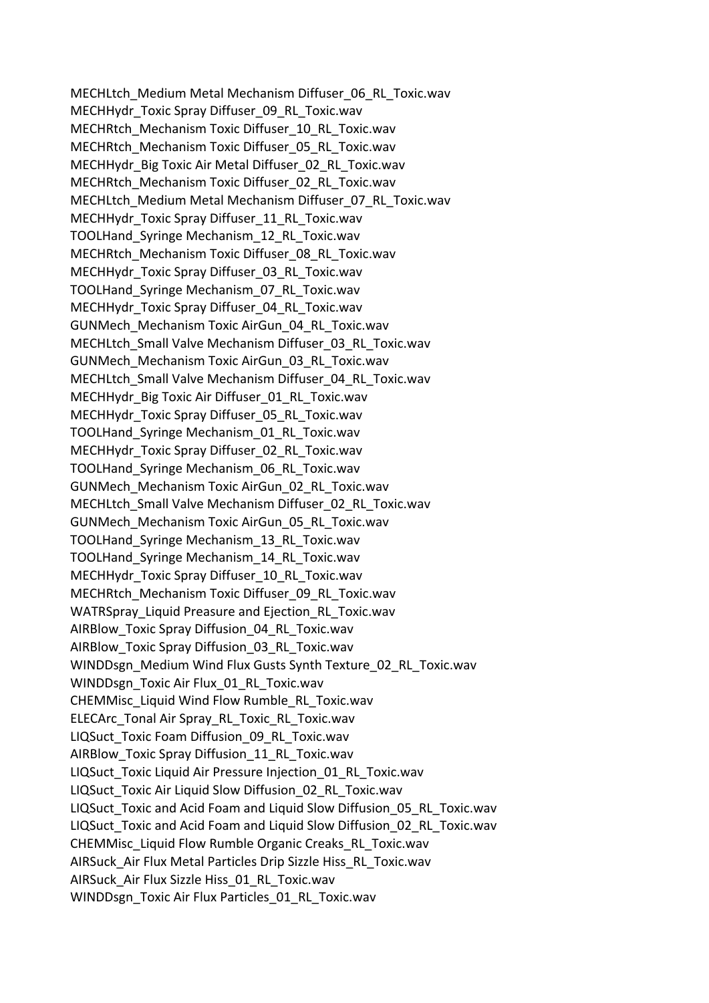MECHLtch\_Medium Metal Mechanism Diffuser\_06\_RL\_Toxic.wav MECHHydr\_Toxic Spray Diffuser\_09\_RL\_Toxic.wav MECHRtch\_Mechanism Toxic Diffuser\_10\_RL\_Toxic.wav MECHRtch\_Mechanism Toxic Diffuser\_05\_RL\_Toxic.wav MECHHydr\_Big Toxic Air Metal Diffuser\_02\_RL\_Toxic.wav MECHRtch\_Mechanism Toxic Diffuser\_02\_RL\_Toxic.wav MECHLtch\_Medium Metal Mechanism Diffuser\_07\_RL\_Toxic.wav MECHHydr\_Toxic Spray Diffuser\_11\_RL\_Toxic.wav TOOLHand\_Syringe Mechanism\_12\_RL\_Toxic.wav MECHRtch\_Mechanism Toxic Diffuser\_08\_RL\_Toxic.wav MECHHydr\_Toxic Spray Diffuser\_03\_RL\_Toxic.wav TOOLHand\_Syringe Mechanism\_07\_RL\_Toxic.wav MECHHydr\_Toxic Spray Diffuser\_04\_RL\_Toxic.wav GUNMech\_Mechanism Toxic AirGun\_04\_RL\_Toxic.wav MECHLtch\_Small Valve Mechanism Diffuser\_03\_RL\_Toxic.wav GUNMech\_Mechanism Toxic AirGun\_03\_RL\_Toxic.wav MECHLtch\_Small Valve Mechanism Diffuser\_04\_RL\_Toxic.wav MECHHydr\_Big Toxic Air Diffuser\_01\_RL\_Toxic.wav MECHHydr\_Toxic Spray Diffuser\_05\_RL\_Toxic.wav TOOLHand\_Syringe Mechanism\_01\_RL\_Toxic.wav MECHHydr\_Toxic Spray Diffuser\_02\_RL\_Toxic.wav TOOLHand\_Syringe Mechanism\_06\_RL\_Toxic.wav GUNMech\_Mechanism Toxic AirGun\_02\_RL\_Toxic.wav MECHLtch\_Small Valve Mechanism Diffuser\_02\_RL\_Toxic.wav GUNMech\_Mechanism Toxic AirGun\_05\_RL\_Toxic.wav TOOLHand\_Syringe Mechanism\_13\_RL\_Toxic.wav TOOLHand\_Syringe Mechanism\_14\_RL\_Toxic.wav MECHHydr\_Toxic Spray Diffuser\_10\_RL\_Toxic.wav MECHRtch\_Mechanism Toxic Diffuser\_09\_RL\_Toxic.wav WATRSpray\_Liquid Preasure and Ejection\_RL\_Toxic.wav AIRBlow Toxic Spray Diffusion 04 RL Toxic.wav AIRBlow\_Toxic Spray Diffusion\_03\_RL\_Toxic.wav WINDDsgn\_Medium Wind Flux Gusts Synth Texture\_02\_RL\_Toxic.wav WINDDsgn\_Toxic Air Flux\_01\_RL\_Toxic.wav CHEMMisc\_Liquid Wind Flow Rumble\_RL\_Toxic.wav ELECArc\_Tonal Air Spray\_RL\_Toxic\_RL\_Toxic.wav LIQSuct\_Toxic Foam Diffusion\_09\_RL\_Toxic.wav AIRBlow Toxic Spray Diffusion 11 RL Toxic.wav LIQSuct\_Toxic Liquid Air Pressure Injection\_01\_RL\_Toxic.wav LIQSuct\_Toxic Air Liquid Slow Diffusion\_02\_RL\_Toxic.wav LIQSuct\_Toxic and Acid Foam and Liquid Slow Diffusion\_05\_RL\_Toxic.wav LIQSuct\_Toxic and Acid Foam and Liquid Slow Diffusion\_02\_RL\_Toxic.wav CHEMMisc\_Liquid Flow Rumble Organic Creaks\_RL\_Toxic.wav AIRSuck\_Air Flux Metal Particles Drip Sizzle Hiss\_RL\_Toxic.wav AIRSuck\_Air Flux Sizzle Hiss\_01\_RL\_Toxic.wav WINDDsgn\_Toxic Air Flux Particles\_01\_RL\_Toxic.wav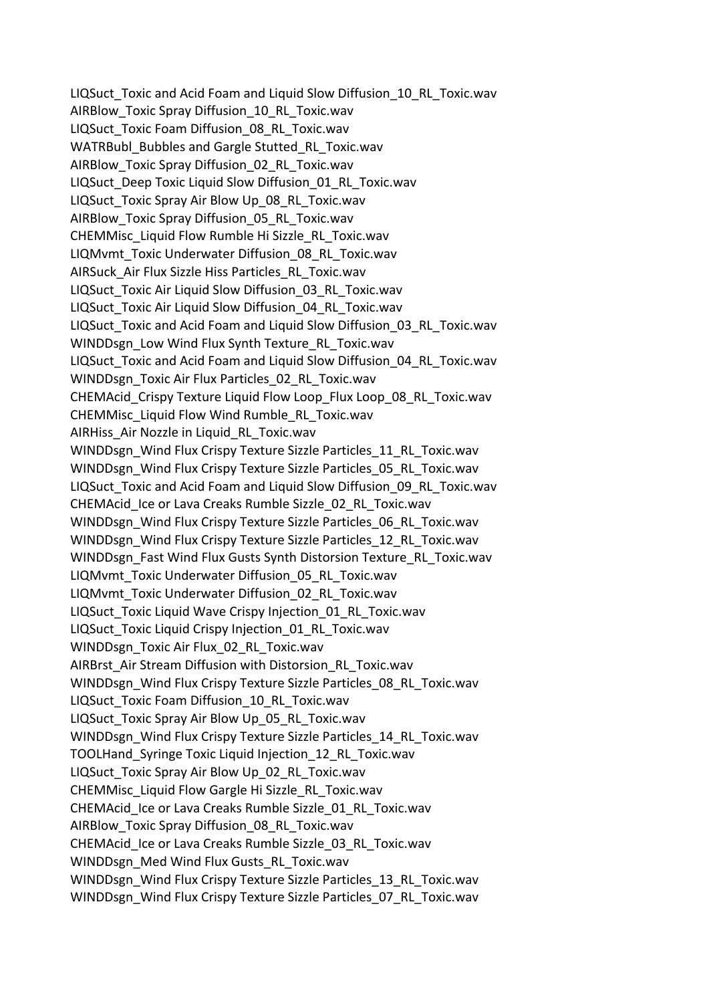LIQSuct\_Toxic and Acid Foam and Liquid Slow Diffusion\_10\_RL\_Toxic.wav AIRBlow Toxic Spray Diffusion 10 RL Toxic.wav LIQSuct\_Toxic Foam Diffusion\_08\_RL\_Toxic.wav WATRBubl\_Bubbles and Gargle Stutted\_RL\_Toxic.wav AIRBlow\_Toxic Spray Diffusion\_02\_RL\_Toxic.wav LIQSuct\_Deep Toxic Liquid Slow Diffusion\_01\_RL\_Toxic.wav LIQSuct\_Toxic Spray Air Blow Up\_08\_RL\_Toxic.wav AIRBlow\_Toxic Spray Diffusion\_05\_RL\_Toxic.wav CHEMMisc\_Liquid Flow Rumble Hi Sizzle\_RL\_Toxic.wav LIQMvmt\_Toxic Underwater Diffusion\_08\_RL\_Toxic.wav AIRSuck\_Air Flux Sizzle Hiss Particles\_RL\_Toxic.wav LIQSuct\_Toxic Air Liquid Slow Diffusion\_03\_RL\_Toxic.wav LIQSuct\_Toxic Air Liquid Slow Diffusion\_04\_RL\_Toxic.wav LIQSuct\_Toxic and Acid Foam and Liquid Slow Diffusion\_03\_RL\_Toxic.wav WINDDsgn\_Low Wind Flux Synth Texture\_RL\_Toxic.wav LIQSuct\_Toxic and Acid Foam and Liquid Slow Diffusion\_04\_RL\_Toxic.wav WINDDsgn\_Toxic Air Flux Particles\_02\_RL\_Toxic.wav CHEMAcid\_Crispy Texture Liquid Flow Loop\_Flux Loop\_08\_RL\_Toxic.wav CHEMMisc\_Liquid Flow Wind Rumble\_RL\_Toxic.wav AIRHiss\_Air Nozzle in Liquid\_RL\_Toxic.wav WINDDsgn\_Wind Flux Crispy Texture Sizzle Particles\_11\_RL\_Toxic.wav WINDDsgn\_Wind Flux Crispy Texture Sizzle Particles\_05\_RL\_Toxic.wav LIQSuct\_Toxic and Acid Foam and Liquid Slow Diffusion\_09\_RL\_Toxic.wav CHEMAcid\_Ice or Lava Creaks Rumble Sizzle\_02\_RL\_Toxic.wav WINDDsgn\_Wind Flux Crispy Texture Sizzle Particles\_06\_RL\_Toxic.wav WINDDsgn\_Wind Flux Crispy Texture Sizzle Particles\_12\_RL\_Toxic.wav WINDDsgn\_Fast Wind Flux Gusts Synth Distorsion Texture\_RL\_Toxic.wav LIQMvmt\_Toxic Underwater Diffusion\_05\_RL\_Toxic.wav LIQMvmt\_Toxic Underwater Diffusion\_02\_RL\_Toxic.wav LIQSuct\_Toxic Liquid Wave Crispy Injection\_01\_RL\_Toxic.wav LIQSuct\_Toxic Liquid Crispy Injection\_01\_RL\_Toxic.wav WINDDsgn\_Toxic Air Flux\_02\_RL\_Toxic.wav AIRBrst\_Air Stream Diffusion with Distorsion\_RL\_Toxic.wav WINDDsgn\_Wind Flux Crispy Texture Sizzle Particles\_08\_RL\_Toxic.wav LIQSuct\_Toxic Foam Diffusion\_10\_RL\_Toxic.wav LIQSuct\_Toxic Spray Air Blow Up\_05\_RL\_Toxic.wav WINDDsgn\_Wind Flux Crispy Texture Sizzle Particles\_14\_RL\_Toxic.wav TOOLHand\_Syringe Toxic Liquid Injection\_12\_RL\_Toxic.wav LIQSuct\_Toxic Spray Air Blow Up\_02\_RL\_Toxic.wav CHEMMisc\_Liquid Flow Gargle Hi Sizzle\_RL\_Toxic.wav CHEMAcid\_Ice or Lava Creaks Rumble Sizzle\_01\_RL\_Toxic.wav AIRBlow Toxic Spray Diffusion 08 RL Toxic.wav CHEMAcid\_Ice or Lava Creaks Rumble Sizzle\_03\_RL\_Toxic.wav WINDDsgn\_Med Wind Flux Gusts\_RL\_Toxic.wav WINDDsgn\_Wind Flux Crispy Texture Sizzle Particles\_13\_RL\_Toxic.wav WINDDsgn\_Wind Flux Crispy Texture Sizzle Particles\_07\_RL\_Toxic.wav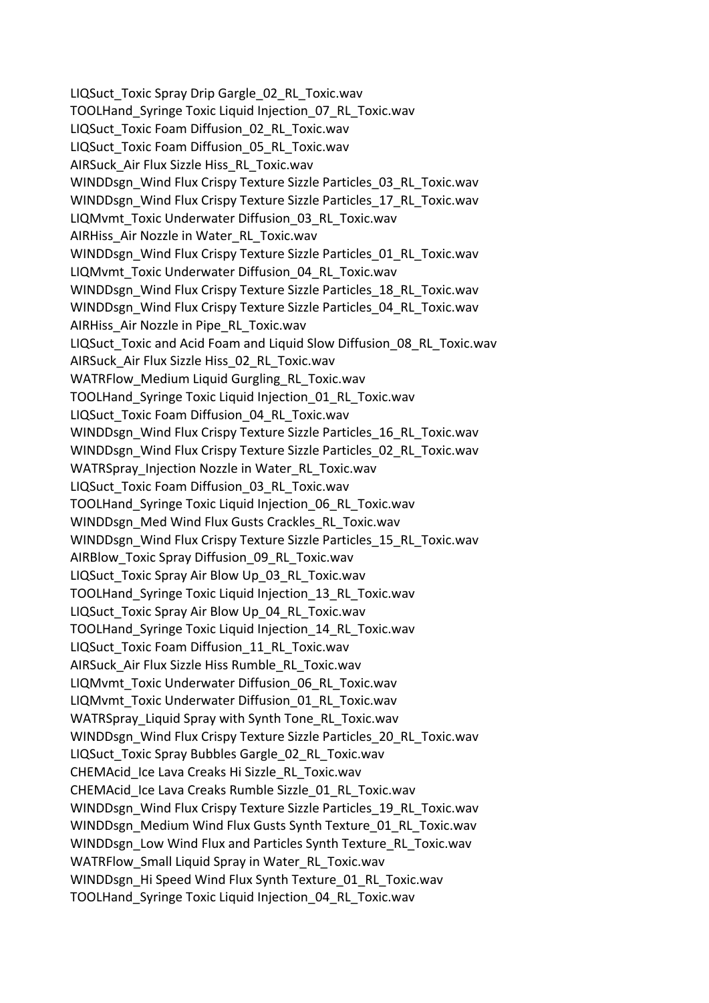LIQSuct\_Toxic Spray Drip Gargle\_02\_RL\_Toxic.wav TOOLHand\_Syringe Toxic Liquid Injection\_07\_RL\_Toxic.wav LIQSuct\_Toxic Foam Diffusion\_02\_RL\_Toxic.wav LIQSuct\_Toxic Foam Diffusion\_05\_RL\_Toxic.wav AIRSuck\_Air Flux Sizzle Hiss\_RL\_Toxic.wav WINDDsgn\_Wind Flux Crispy Texture Sizzle Particles\_03\_RL\_Toxic.wav WINDDsgn\_Wind Flux Crispy Texture Sizzle Particles\_17\_RL\_Toxic.wav LIQMvmt\_Toxic Underwater Diffusion\_03\_RL\_Toxic.wav AIRHiss\_Air Nozzle in Water\_RL\_Toxic.wav WINDDsgn\_Wind Flux Crispy Texture Sizzle Particles\_01\_RL\_Toxic.wav LIQMvmt\_Toxic Underwater Diffusion\_04\_RL\_Toxic.wav WINDDsgn\_Wind Flux Crispy Texture Sizzle Particles\_18\_RL\_Toxic.wav WINDDsgn\_Wind Flux Crispy Texture Sizzle Particles\_04\_RL\_Toxic.wav AIRHiss\_Air Nozzle in Pipe\_RL\_Toxic.wav LIQSuct\_Toxic and Acid Foam and Liquid Slow Diffusion\_08\_RL\_Toxic.wav AIRSuck\_Air Flux Sizzle Hiss\_02\_RL\_Toxic.wav WATRFlow Medium Liquid Gurgling RL Toxic.wav TOOLHand\_Syringe Toxic Liquid Injection\_01\_RL\_Toxic.wav LIQSuct\_Toxic Foam Diffusion\_04\_RL\_Toxic.wav WINDDsgn\_Wind Flux Crispy Texture Sizzle Particles\_16\_RL\_Toxic.wav WINDDsgn\_Wind Flux Crispy Texture Sizzle Particles\_02\_RL\_Toxic.wav WATRSpray\_Injection Nozzle in Water\_RL\_Toxic.wav LIQSuct\_Toxic Foam Diffusion\_03\_RL\_Toxic.wav TOOLHand\_Syringe Toxic Liquid Injection\_06\_RL\_Toxic.wav WINDDsgn\_Med Wind Flux Gusts Crackles\_RL\_Toxic.wav WINDDsgn\_Wind Flux Crispy Texture Sizzle Particles\_15\_RL\_Toxic.wav AIRBlow Toxic Spray Diffusion 09 RL Toxic.wav LIQSuct\_Toxic Spray Air Blow Up\_03\_RL\_Toxic.wav TOOLHand\_Syringe Toxic Liquid Injection\_13\_RL\_Toxic.wav LIQSuct\_Toxic Spray Air Blow Up\_04\_RL\_Toxic.wav TOOLHand\_Syringe Toxic Liquid Injection\_14\_RL\_Toxic.wav LIQSuct\_Toxic Foam Diffusion\_11\_RL\_Toxic.wav AIRSuck\_Air Flux Sizzle Hiss Rumble\_RL\_Toxic.wav LIQMvmt\_Toxic Underwater Diffusion\_06\_RL\_Toxic.wav LIQMvmt\_Toxic Underwater Diffusion\_01\_RL\_Toxic.wav WATRSpray\_Liquid Spray with Synth Tone\_RL\_Toxic.wav WINDDsgn\_Wind Flux Crispy Texture Sizzle Particles\_20\_RL\_Toxic.wav LIQSuct\_Toxic Spray Bubbles Gargle\_02\_RL\_Toxic.wav CHEMAcid\_Ice Lava Creaks Hi Sizzle\_RL\_Toxic.wav CHEMAcid\_Ice Lava Creaks Rumble Sizzle\_01\_RL\_Toxic.wav WINDDsgn\_Wind Flux Crispy Texture Sizzle Particles\_19\_RL\_Toxic.wav WINDDsgn\_Medium Wind Flux Gusts Synth Texture\_01\_RL\_Toxic.wav WINDDsgn\_Low Wind Flux and Particles Synth Texture\_RL\_Toxic.wav WATRFlow\_Small Liquid Spray in Water\_RL\_Toxic.wav WINDDsgn\_Hi Speed Wind Flux Synth Texture\_01\_RL\_Toxic.wav TOOLHand\_Syringe Toxic Liquid Injection\_04\_RL\_Toxic.wav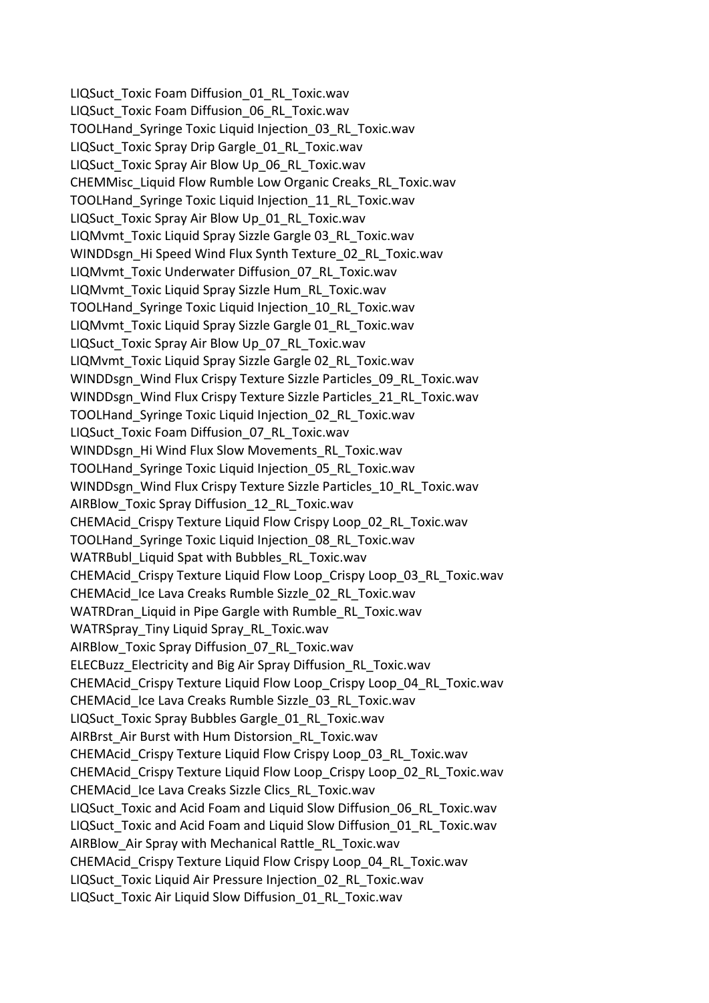LIQSuct\_Toxic Foam Diffusion\_01\_RL\_Toxic.wav LIQSuct\_Toxic Foam Diffusion\_06\_RL\_Toxic.wav TOOLHand\_Syringe Toxic Liquid Injection\_03\_RL\_Toxic.wav LIQSuct\_Toxic Spray Drip Gargle\_01\_RL\_Toxic.wav LIQSuct\_Toxic Spray Air Blow Up\_06\_RL\_Toxic.wav CHEMMisc\_Liquid Flow Rumble Low Organic Creaks\_RL\_Toxic.wav TOOLHand\_Syringe Toxic Liquid Injection\_11\_RL\_Toxic.wav LIQSuct\_Toxic Spray Air Blow Up\_01\_RL\_Toxic.wav LIQMvmt\_Toxic Liquid Spray Sizzle Gargle 03\_RL\_Toxic.wav WINDDsgn\_Hi Speed Wind Flux Synth Texture\_02\_RL\_Toxic.wav LIQMvmt\_Toxic Underwater Diffusion\_07\_RL\_Toxic.wav LIQMvmt\_Toxic Liquid Spray Sizzle Hum\_RL\_Toxic.wav TOOLHand\_Syringe Toxic Liquid Injection\_10\_RL\_Toxic.wav LIQMvmt\_Toxic Liquid Spray Sizzle Gargle 01\_RL\_Toxic.wav LIQSuct\_Toxic Spray Air Blow Up\_07\_RL\_Toxic.wav LIQMvmt\_Toxic Liquid Spray Sizzle Gargle 02\_RL\_Toxic.wav WINDDsgn\_Wind Flux Crispy Texture Sizzle Particles\_09\_RL\_Toxic.wav WINDDsgn\_Wind Flux Crispy Texture Sizzle Particles\_21\_RL\_Toxic.wav TOOLHand\_Syringe Toxic Liquid Injection\_02\_RL\_Toxic.wav LIQSuct\_Toxic Foam Diffusion\_07\_RL\_Toxic.wav WINDDsgn\_Hi Wind Flux Slow Movements\_RL\_Toxic.wav TOOLHand\_Syringe Toxic Liquid Injection\_05\_RL\_Toxic.wav WINDDsgn\_Wind Flux Crispy Texture Sizzle Particles\_10\_RL\_Toxic.wav AIRBlow\_Toxic Spray Diffusion\_12\_RL\_Toxic.wav CHEMAcid\_Crispy Texture Liquid Flow Crispy Loop\_02\_RL\_Toxic.wav TOOLHand\_Syringe Toxic Liquid Injection\_08\_RL\_Toxic.wav WATRBubl\_Liquid Spat with Bubbles\_RL\_Toxic.wav CHEMAcid\_Crispy Texture Liquid Flow Loop\_Crispy Loop\_03\_RL\_Toxic.wav CHEMAcid\_Ice Lava Creaks Rumble Sizzle\_02\_RL\_Toxic.wav WATRDran\_Liquid in Pipe Gargle with Rumble\_RL\_Toxic.wav WATRSpray\_Tiny Liquid Spray\_RL\_Toxic.wav AIRBlow Toxic Spray Diffusion 07 RL Toxic.wav ELECBuzz\_Electricity and Big Air Spray Diffusion\_RL\_Toxic.wav CHEMAcid\_Crispy Texture Liquid Flow Loop\_Crispy Loop\_04\_RL\_Toxic.wav CHEMAcid\_Ice Lava Creaks Rumble Sizzle\_03\_RL\_Toxic.wav LIQSuct\_Toxic Spray Bubbles Gargle\_01\_RL\_Toxic.wav AIRBrst\_Air Burst with Hum Distorsion\_RL\_Toxic.wav CHEMAcid\_Crispy Texture Liquid Flow Crispy Loop\_03\_RL\_Toxic.wav CHEMAcid\_Crispy Texture Liquid Flow Loop\_Crispy Loop\_02\_RL\_Toxic.wav CHEMAcid\_Ice Lava Creaks Sizzle Clics\_RL\_Toxic.wav LIQSuct\_Toxic and Acid Foam and Liquid Slow Diffusion\_06\_RL\_Toxic.wav LIQSuct\_Toxic and Acid Foam and Liquid Slow Diffusion\_01\_RL\_Toxic.wav AIRBlow\_Air Spray with Mechanical Rattle\_RL\_Toxic.wav CHEMAcid\_Crispy Texture Liquid Flow Crispy Loop\_04\_RL\_Toxic.wav LIQSuct\_Toxic Liquid Air Pressure Injection\_02\_RL\_Toxic.wav LIQSuct\_Toxic Air Liquid Slow Diffusion\_01\_RL\_Toxic.wav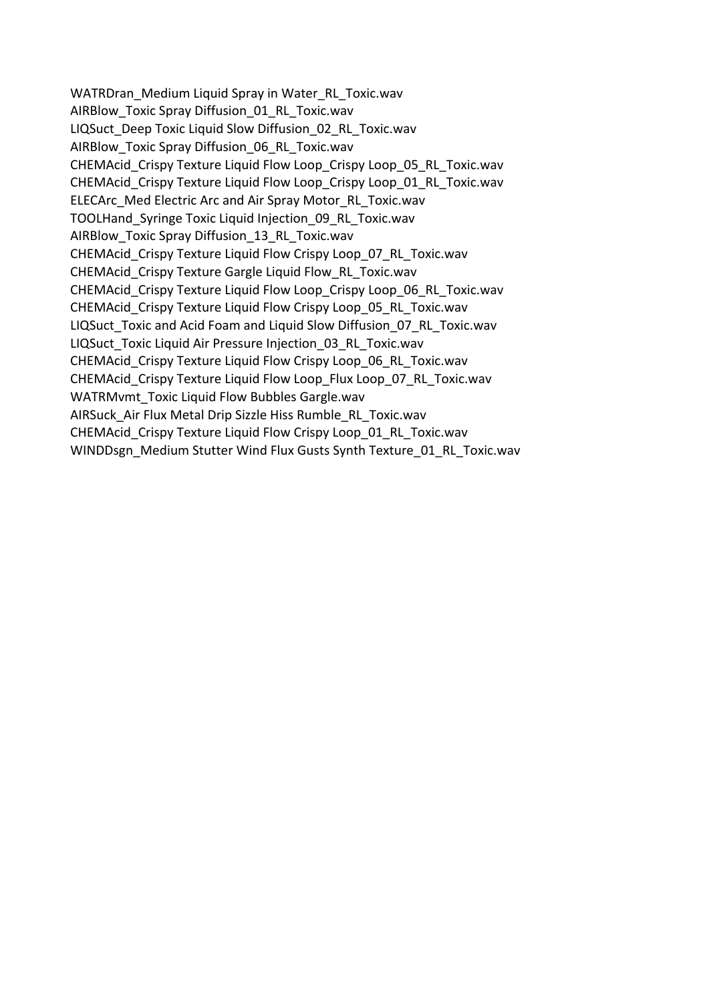WATRDran\_Medium Liquid Spray in Water\_RL\_Toxic.wav AIRBlow Toxic Spray Diffusion 01 RL Toxic.wav LIQSuct\_Deep Toxic Liquid Slow Diffusion\_02\_RL\_Toxic.wav AIRBlow\_Toxic Spray Diffusion\_06\_RL\_Toxic.wav CHEMAcid\_Crispy Texture Liquid Flow Loop\_Crispy Loop\_05\_RL\_Toxic.wav CHEMAcid\_Crispy Texture Liquid Flow Loop\_Crispy Loop\_01\_RL\_Toxic.wav ELECArc\_Med Electric Arc and Air Spray Motor\_RL\_Toxic.wav TOOLHand\_Syringe Toxic Liquid Injection\_09\_RL\_Toxic.wav AIRBlow Toxic Spray Diffusion 13 RL Toxic.wav CHEMAcid\_Crispy Texture Liquid Flow Crispy Loop\_07\_RL\_Toxic.wav CHEMAcid\_Crispy Texture Gargle Liquid Flow\_RL\_Toxic.wav CHEMAcid\_Crispy Texture Liquid Flow Loop\_Crispy Loop\_06\_RL\_Toxic.wav CHEMAcid\_Crispy Texture Liquid Flow Crispy Loop\_05\_RL\_Toxic.wav LIQSuct\_Toxic and Acid Foam and Liquid Slow Diffusion\_07\_RL\_Toxic.wav LIQSuct\_Toxic Liquid Air Pressure Injection\_03\_RL\_Toxic.wav CHEMAcid\_Crispy Texture Liquid Flow Crispy Loop\_06\_RL\_Toxic.wav CHEMAcid\_Crispy Texture Liquid Flow Loop\_Flux Loop\_07\_RL\_Toxic.wav WATRMvmt Toxic Liquid Flow Bubbles Gargle.wav AIRSuck\_Air Flux Metal Drip Sizzle Hiss Rumble\_RL\_Toxic.wav CHEMAcid Crispy Texture Liquid Flow Crispy Loop\_01\_RL\_Toxic.wav WINDDsgn\_Medium Stutter Wind Flux Gusts Synth Texture\_01\_RL\_Toxic.wav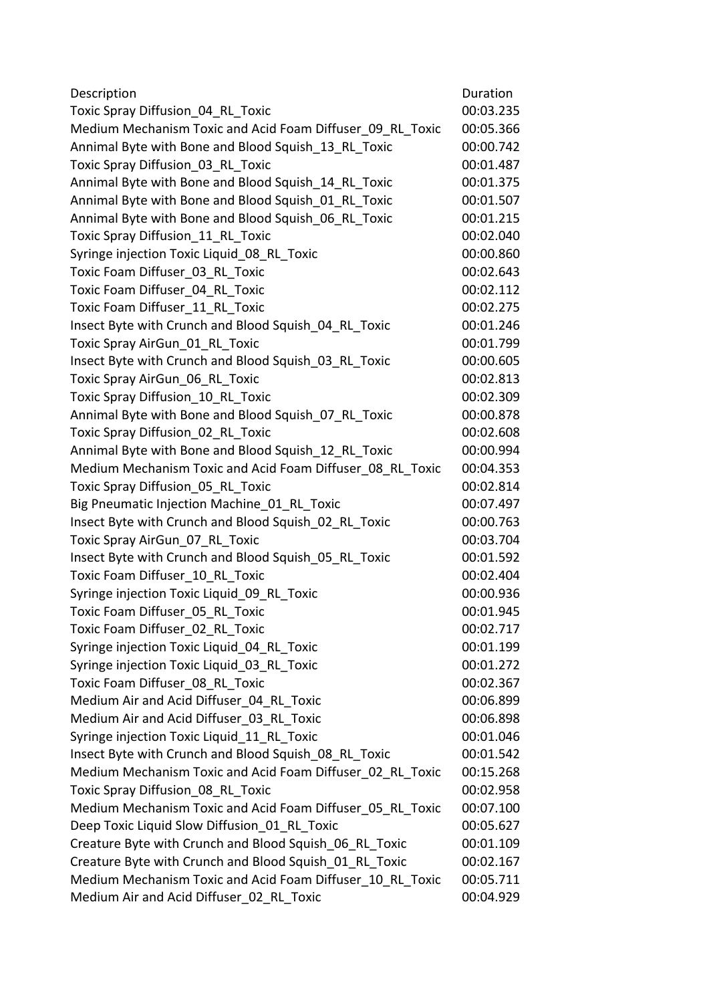| 00:03.235<br>00:05.366<br>00:00.742<br>00:01.487<br>00:01.375<br>00:01.507<br>00:01.215<br>00:02.040<br>00:00.860<br>00:02.643<br>00:02.112<br>00:02.275<br>00:01.246<br>00:01.799<br>00:00.605<br>00:02.813<br>00:02.309<br>00:00.878<br>00:02.608<br>00:00.994<br>00:04.353<br>00:02.814<br>00:07.497<br>00:00.763<br>00:03.704<br>00:01.592<br>00:02.404<br>00:00.936<br>00:01.945<br>00:02.717<br>00:01.199<br>00:01.272<br>00:02.367<br>Toxic Foam Diffuser 08 RL Toxic<br>00:06.899<br>00:06.898<br>Syringe injection Toxic Liquid 11 RL Toxic<br>00:01.046<br>00:01.542<br>00:15.268<br>Toxic Spray Diffusion 08 RL Toxic<br>00:02.958<br>Medium Mechanism Toxic and Acid Foam Diffuser 05 RL Toxic<br>00:07.100<br>Deep Toxic Liquid Slow Diffusion 01 RL Toxic<br>00:05.627<br>00:01.109<br>Creature Byte with Crunch and Blood Squish_01_RL_Toxic<br>00:02.167 | Description                                               | Duration  |
|--------------------------------------------------------------------------------------------------------------------------------------------------------------------------------------------------------------------------------------------------------------------------------------------------------------------------------------------------------------------------------------------------------------------------------------------------------------------------------------------------------------------------------------------------------------------------------------------------------------------------------------------------------------------------------------------------------------------------------------------------------------------------------------------------------------------------------------------------------------------------|-----------------------------------------------------------|-----------|
|                                                                                                                                                                                                                                                                                                                                                                                                                                                                                                                                                                                                                                                                                                                                                                                                                                                                          | Toxic Spray Diffusion 04 RL Toxic                         |           |
|                                                                                                                                                                                                                                                                                                                                                                                                                                                                                                                                                                                                                                                                                                                                                                                                                                                                          | Medium Mechanism Toxic and Acid Foam Diffuser 09 RL Toxic |           |
|                                                                                                                                                                                                                                                                                                                                                                                                                                                                                                                                                                                                                                                                                                                                                                                                                                                                          | Annimal Byte with Bone and Blood Squish 13 RL Toxic       |           |
|                                                                                                                                                                                                                                                                                                                                                                                                                                                                                                                                                                                                                                                                                                                                                                                                                                                                          | Toxic Spray Diffusion 03 RL Toxic                         |           |
|                                                                                                                                                                                                                                                                                                                                                                                                                                                                                                                                                                                                                                                                                                                                                                                                                                                                          | Annimal Byte with Bone and Blood Squish 14 RL Toxic       |           |
|                                                                                                                                                                                                                                                                                                                                                                                                                                                                                                                                                                                                                                                                                                                                                                                                                                                                          | Annimal Byte with Bone and Blood Squish 01 RL Toxic       |           |
|                                                                                                                                                                                                                                                                                                                                                                                                                                                                                                                                                                                                                                                                                                                                                                                                                                                                          | Annimal Byte with Bone and Blood Squish 06 RL Toxic       |           |
|                                                                                                                                                                                                                                                                                                                                                                                                                                                                                                                                                                                                                                                                                                                                                                                                                                                                          | Toxic Spray Diffusion 11 RL Toxic                         |           |
|                                                                                                                                                                                                                                                                                                                                                                                                                                                                                                                                                                                                                                                                                                                                                                                                                                                                          | Syringe injection Toxic Liquid 08 RL Toxic                |           |
|                                                                                                                                                                                                                                                                                                                                                                                                                                                                                                                                                                                                                                                                                                                                                                                                                                                                          | Toxic Foam Diffuser 03 RL Toxic                           |           |
|                                                                                                                                                                                                                                                                                                                                                                                                                                                                                                                                                                                                                                                                                                                                                                                                                                                                          | Toxic Foam Diffuser 04 RL Toxic                           |           |
|                                                                                                                                                                                                                                                                                                                                                                                                                                                                                                                                                                                                                                                                                                                                                                                                                                                                          | Toxic Foam Diffuser 11 RL Toxic                           |           |
|                                                                                                                                                                                                                                                                                                                                                                                                                                                                                                                                                                                                                                                                                                                                                                                                                                                                          | Insect Byte with Crunch and Blood Squish 04 RL Toxic      |           |
|                                                                                                                                                                                                                                                                                                                                                                                                                                                                                                                                                                                                                                                                                                                                                                                                                                                                          | Toxic Spray AirGun 01 RL Toxic                            |           |
|                                                                                                                                                                                                                                                                                                                                                                                                                                                                                                                                                                                                                                                                                                                                                                                                                                                                          | Insect Byte with Crunch and Blood Squish 03 RL Toxic      |           |
|                                                                                                                                                                                                                                                                                                                                                                                                                                                                                                                                                                                                                                                                                                                                                                                                                                                                          | Toxic Spray AirGun 06 RL Toxic                            |           |
|                                                                                                                                                                                                                                                                                                                                                                                                                                                                                                                                                                                                                                                                                                                                                                                                                                                                          | Toxic Spray Diffusion 10 RL Toxic                         |           |
|                                                                                                                                                                                                                                                                                                                                                                                                                                                                                                                                                                                                                                                                                                                                                                                                                                                                          | Annimal Byte with Bone and Blood Squish 07 RL Toxic       |           |
|                                                                                                                                                                                                                                                                                                                                                                                                                                                                                                                                                                                                                                                                                                                                                                                                                                                                          | Toxic Spray Diffusion 02 RL Toxic                         |           |
|                                                                                                                                                                                                                                                                                                                                                                                                                                                                                                                                                                                                                                                                                                                                                                                                                                                                          | Annimal Byte with Bone and Blood Squish 12 RL Toxic       |           |
|                                                                                                                                                                                                                                                                                                                                                                                                                                                                                                                                                                                                                                                                                                                                                                                                                                                                          | Medium Mechanism Toxic and Acid Foam Diffuser 08 RL Toxic |           |
|                                                                                                                                                                                                                                                                                                                                                                                                                                                                                                                                                                                                                                                                                                                                                                                                                                                                          | Toxic Spray Diffusion 05 RL Toxic                         |           |
|                                                                                                                                                                                                                                                                                                                                                                                                                                                                                                                                                                                                                                                                                                                                                                                                                                                                          | Big Pneumatic Injection Machine 01 RL Toxic               |           |
|                                                                                                                                                                                                                                                                                                                                                                                                                                                                                                                                                                                                                                                                                                                                                                                                                                                                          | Insect Byte with Crunch and Blood Squish 02 RL Toxic      |           |
|                                                                                                                                                                                                                                                                                                                                                                                                                                                                                                                                                                                                                                                                                                                                                                                                                                                                          | Toxic Spray AirGun 07 RL Toxic                            |           |
|                                                                                                                                                                                                                                                                                                                                                                                                                                                                                                                                                                                                                                                                                                                                                                                                                                                                          | Insect Byte with Crunch and Blood Squish 05 RL Toxic      |           |
|                                                                                                                                                                                                                                                                                                                                                                                                                                                                                                                                                                                                                                                                                                                                                                                                                                                                          | Toxic Foam Diffuser 10 RL Toxic                           |           |
|                                                                                                                                                                                                                                                                                                                                                                                                                                                                                                                                                                                                                                                                                                                                                                                                                                                                          | Syringe injection Toxic Liquid 09 RL Toxic                |           |
|                                                                                                                                                                                                                                                                                                                                                                                                                                                                                                                                                                                                                                                                                                                                                                                                                                                                          | Toxic Foam Diffuser 05 RL Toxic                           |           |
|                                                                                                                                                                                                                                                                                                                                                                                                                                                                                                                                                                                                                                                                                                                                                                                                                                                                          | Toxic Foam Diffuser 02 RL Toxic                           |           |
|                                                                                                                                                                                                                                                                                                                                                                                                                                                                                                                                                                                                                                                                                                                                                                                                                                                                          | Syringe injection Toxic Liquid 04 RL Toxic                |           |
|                                                                                                                                                                                                                                                                                                                                                                                                                                                                                                                                                                                                                                                                                                                                                                                                                                                                          | Syringe injection Toxic Liquid 03 RL Toxic                |           |
|                                                                                                                                                                                                                                                                                                                                                                                                                                                                                                                                                                                                                                                                                                                                                                                                                                                                          |                                                           |           |
|                                                                                                                                                                                                                                                                                                                                                                                                                                                                                                                                                                                                                                                                                                                                                                                                                                                                          | Medium Air and Acid Diffuser 04 RL Toxic                  |           |
|                                                                                                                                                                                                                                                                                                                                                                                                                                                                                                                                                                                                                                                                                                                                                                                                                                                                          | Medium Air and Acid Diffuser 03 RL Toxic                  |           |
|                                                                                                                                                                                                                                                                                                                                                                                                                                                                                                                                                                                                                                                                                                                                                                                                                                                                          |                                                           |           |
|                                                                                                                                                                                                                                                                                                                                                                                                                                                                                                                                                                                                                                                                                                                                                                                                                                                                          | Insect Byte with Crunch and Blood Squish 08 RL Toxic      |           |
|                                                                                                                                                                                                                                                                                                                                                                                                                                                                                                                                                                                                                                                                                                                                                                                                                                                                          | Medium Mechanism Toxic and Acid Foam Diffuser 02 RL Toxic |           |
|                                                                                                                                                                                                                                                                                                                                                                                                                                                                                                                                                                                                                                                                                                                                                                                                                                                                          |                                                           |           |
|                                                                                                                                                                                                                                                                                                                                                                                                                                                                                                                                                                                                                                                                                                                                                                                                                                                                          |                                                           |           |
|                                                                                                                                                                                                                                                                                                                                                                                                                                                                                                                                                                                                                                                                                                                                                                                                                                                                          |                                                           |           |
|                                                                                                                                                                                                                                                                                                                                                                                                                                                                                                                                                                                                                                                                                                                                                                                                                                                                          | Creature Byte with Crunch and Blood Squish 06 RL Toxic    |           |
|                                                                                                                                                                                                                                                                                                                                                                                                                                                                                                                                                                                                                                                                                                                                                                                                                                                                          |                                                           |           |
|                                                                                                                                                                                                                                                                                                                                                                                                                                                                                                                                                                                                                                                                                                                                                                                                                                                                          | Medium Mechanism Toxic and Acid Foam Diffuser 10 RL Toxic | 00:05.711 |
| 00:04.929                                                                                                                                                                                                                                                                                                                                                                                                                                                                                                                                                                                                                                                                                                                                                                                                                                                                | Medium Air and Acid Diffuser_02_RL_Toxic                  |           |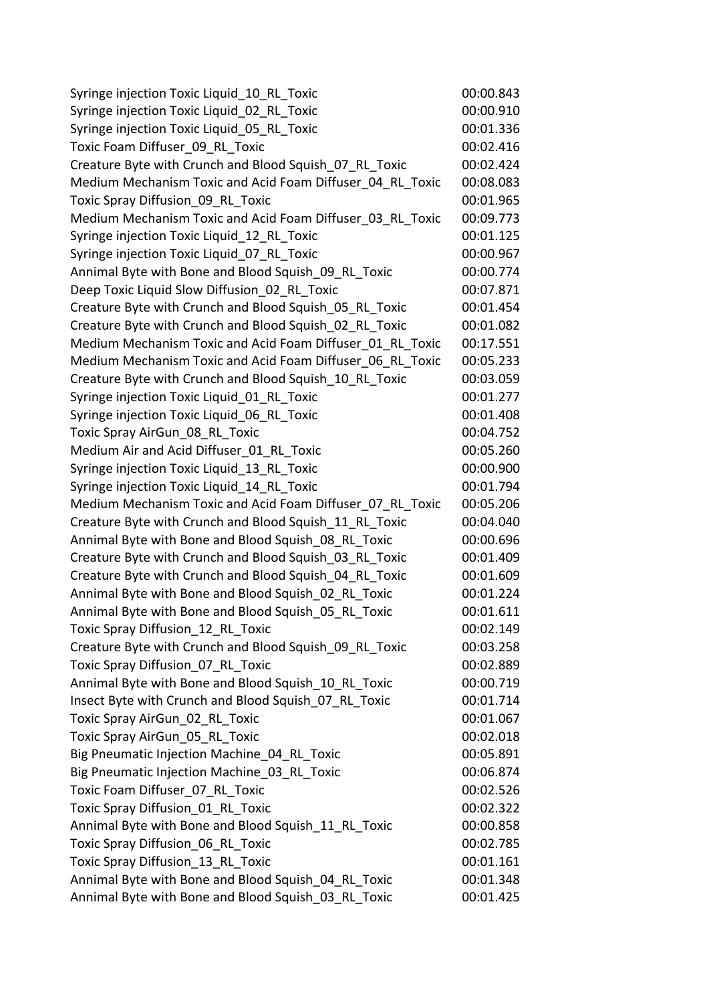| Syringe injection Toxic Liquid 10 RL Toxic                | 00:00.843 |
|-----------------------------------------------------------|-----------|
| Syringe injection Toxic Liquid 02 RL Toxic                | 00:00.910 |
| Syringe injection Toxic Liquid 05 RL Toxic                | 00:01.336 |
| Toxic Foam Diffuser_09_RL_Toxic                           | 00:02.416 |
| Creature Byte with Crunch and Blood Squish 07 RL Toxic    | 00:02.424 |
| Medium Mechanism Toxic and Acid Foam Diffuser 04 RL Toxic | 00:08.083 |
| Toxic Spray Diffusion 09 RL Toxic                         | 00:01.965 |
| Medium Mechanism Toxic and Acid Foam Diffuser 03 RL Toxic | 00:09.773 |
| Syringe injection Toxic Liquid 12 RL Toxic                | 00:01.125 |
| Syringe injection Toxic Liquid 07 RL Toxic                | 00:00.967 |
| Annimal Byte with Bone and Blood Squish 09 RL Toxic       | 00:00.774 |
| Deep Toxic Liquid Slow Diffusion 02 RL Toxic              | 00:07.871 |
| Creature Byte with Crunch and Blood Squish 05 RL Toxic    | 00:01.454 |
| Creature Byte with Crunch and Blood Squish 02 RL Toxic    | 00:01.082 |
| Medium Mechanism Toxic and Acid Foam Diffuser 01 RL Toxic | 00:17.551 |
| Medium Mechanism Toxic and Acid Foam Diffuser 06 RL Toxic | 00:05.233 |
| Creature Byte with Crunch and Blood Squish 10 RL Toxic    | 00:03.059 |
| Syringe injection Toxic Liquid 01 RL Toxic                | 00:01.277 |
| Syringe injection Toxic Liquid 06 RL Toxic                | 00:01.408 |
| Toxic Spray AirGun 08 RL Toxic                            | 00:04.752 |
| Medium Air and Acid Diffuser 01 RL Toxic                  | 00:05.260 |
| Syringe injection Toxic Liquid 13 RL Toxic                | 00:00.900 |
| Syringe injection Toxic Liquid_14_RL Toxic                | 00:01.794 |
| Medium Mechanism Toxic and Acid Foam Diffuser 07 RL Toxic | 00:05.206 |
| Creature Byte with Crunch and Blood Squish 11 RL Toxic    | 00:04.040 |
| Annimal Byte with Bone and Blood Squish 08 RL Toxic       | 00:00.696 |
| Creature Byte with Crunch and Blood Squish 03 RL Toxic    | 00:01.409 |
| Creature Byte with Crunch and Blood Squish 04 RL Toxic    | 00:01.609 |
| Annimal Byte with Bone and Blood Squish 02 RL Toxic       | 00:01.224 |
| Annimal Byte with Bone and Blood Squish 05 RL Toxic       | 00:01.611 |
| Toxic Spray Diffusion 12 RL Toxic                         | 00:02.149 |
| Creature Byte with Crunch and Blood Squish 09 RL Toxic    | 00:03.258 |
| Toxic Spray Diffusion 07 RL Toxic                         | 00:02.889 |
| Annimal Byte with Bone and Blood Squish 10 RL Toxic       | 00:00.719 |
| Insect Byte with Crunch and Blood Squish 07 RL Toxic      | 00:01.714 |
| Toxic Spray AirGun 02 RL Toxic                            | 00:01.067 |
| Toxic Spray AirGun 05 RL Toxic                            | 00:02.018 |
| Big Pneumatic Injection Machine 04 RL Toxic               | 00:05.891 |
| Big Pneumatic Injection Machine 03 RL Toxic               | 00:06.874 |
| Toxic Foam Diffuser 07 RL Toxic                           | 00:02.526 |
| Toxic Spray Diffusion 01 RL Toxic                         | 00:02.322 |
| Annimal Byte with Bone and Blood Squish 11 RL Toxic       | 00:00.858 |
| Toxic Spray Diffusion 06 RL Toxic                         | 00:02.785 |
| Toxic Spray Diffusion_13_RL_Toxic                         | 00:01.161 |
|                                                           | 00:01.348 |
| Annimal Byte with Bone and Blood Squish 04 RL Toxic       |           |
| Annimal Byte with Bone and Blood Squish_03_RL_Toxic       | 00:01.425 |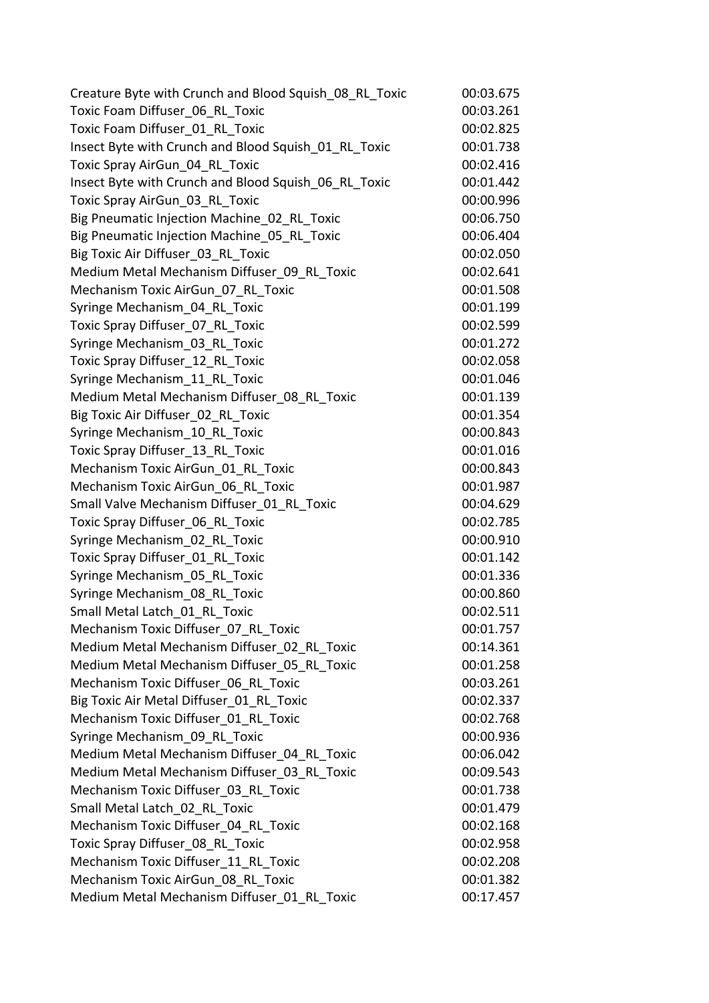| Creature Byte with Crunch and Blood Squish 08 RL Toxic | 00:03.675 |
|--------------------------------------------------------|-----------|
| Toxic Foam Diffuser 06 RL Toxic                        | 00:03.261 |
| Toxic Foam Diffuser 01 RL Toxic                        | 00:02.825 |
| Insect Byte with Crunch and Blood Squish 01 RL Toxic   | 00:01.738 |
| Toxic Spray AirGun_04_RL_Toxic                         | 00:02.416 |
| Insect Byte with Crunch and Blood Squish 06 RL Toxic   | 00:01.442 |
| Toxic Spray AirGun 03 RL Toxic                         | 00:00.996 |
| Big Pneumatic Injection Machine 02 RL Toxic            | 00:06.750 |
| Big Pneumatic Injection Machine 05 RL Toxic            | 00:06.404 |
| Big Toxic Air Diffuser 03 RL Toxic                     | 00:02.050 |
| Medium Metal Mechanism Diffuser 09 RL Toxic            | 00:02.641 |
| Mechanism Toxic AirGun 07 RL Toxic                     | 00:01.508 |
| Syringe Mechanism 04 RL Toxic                          | 00:01.199 |
| Toxic Spray Diffuser 07 RL Toxic                       | 00:02.599 |
| Syringe Mechanism 03 RL Toxic                          | 00:01.272 |
| Toxic Spray Diffuser 12 RL Toxic                       | 00:02.058 |
| Syringe Mechanism 11 RL Toxic                          | 00:01.046 |
| Medium Metal Mechanism Diffuser 08 RL Toxic            | 00:01.139 |
| Big Toxic Air Diffuser_02_RL_Toxic                     | 00:01.354 |
| Syringe Mechanism 10 RL Toxic                          | 00:00.843 |
| Toxic Spray Diffuser 13 RL Toxic                       | 00:01.016 |
| Mechanism Toxic AirGun_01_RL Toxic                     | 00:00.843 |
| Mechanism Toxic AirGun 06 RL Toxic                     | 00:01.987 |
| Small Valve Mechanism Diffuser 01 RL Toxic             | 00:04.629 |
| Toxic Spray Diffuser 06 RL Toxic                       | 00:02.785 |
| Syringe Mechanism 02 RL Toxic                          | 00:00.910 |
| Toxic Spray Diffuser 01 RL Toxic                       | 00:01.142 |
| Syringe Mechanism 05 RL Toxic                          | 00:01.336 |
| Syringe Mechanism 08 RL Toxic                          | 00:00.860 |
| Small Metal Latch 01 RL Toxic                          | 00:02.511 |
| Mechanism Toxic Diffuser 07 RL Toxic                   | 00:01.757 |
| Medium Metal Mechanism Diffuser 02 RL Toxic            | 00:14.361 |
| Medium Metal Mechanism Diffuser 05 RL Toxic            | 00:01.258 |
| Mechanism Toxic Diffuser 06 RL Toxic                   | 00:03.261 |
| Big Toxic Air Metal Diffuser 01 RL Toxic               | 00:02.337 |
| Mechanism Toxic Diffuser 01 RL Toxic                   | 00:02.768 |
| Syringe Mechanism 09 RL Toxic                          | 00:00.936 |
| Medium Metal Mechanism Diffuser 04 RL Toxic            | 00:06.042 |
| Medium Metal Mechanism Diffuser 03 RL Toxic            | 00:09.543 |
| Mechanism Toxic Diffuser 03 RL Toxic                   | 00:01.738 |
| Small Metal Latch 02 RL Toxic                          | 00:01.479 |
| Mechanism Toxic Diffuser 04 RL Toxic                   | 00:02.168 |
| Toxic Spray Diffuser 08 RL Toxic                       | 00:02.958 |
| Mechanism Toxic Diffuser 11 RL Toxic                   | 00:02.208 |
| Mechanism Toxic AirGun 08 RL Toxic                     | 00:01.382 |
| Medium Metal Mechanism Diffuser 01 RL Toxic            | 00:17.457 |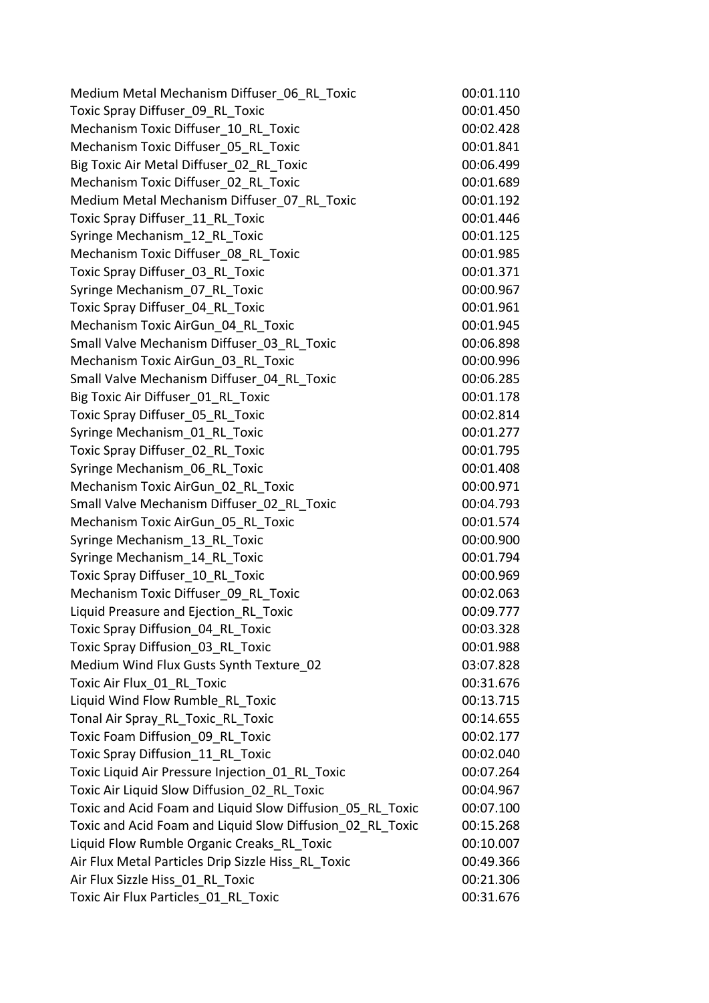| Medium Metal Mechanism Diffuser 06 RL Toxic               | 00:01.110 |
|-----------------------------------------------------------|-----------|
| Toxic Spray Diffuser 09 RL Toxic                          | 00:01.450 |
| Mechanism Toxic Diffuser 10 RL Toxic                      | 00:02.428 |
| Mechanism Toxic Diffuser 05 RL Toxic                      | 00:01.841 |
| Big Toxic Air Metal Diffuser 02 RL Toxic                  | 00:06.499 |
| Mechanism Toxic Diffuser 02 RL Toxic                      | 00:01.689 |
| Medium Metal Mechanism Diffuser 07 RL Toxic               | 00:01.192 |
| Toxic Spray Diffuser 11 RL Toxic                          | 00:01.446 |
| Syringe Mechanism 12 RL Toxic                             | 00:01.125 |
| Mechanism Toxic Diffuser 08 RL Toxic                      | 00:01.985 |
| Toxic Spray Diffuser 03 RL Toxic                          | 00:01.371 |
| Syringe Mechanism 07 RL Toxic                             | 00:00.967 |
| Toxic Spray Diffuser 04 RL Toxic                          | 00:01.961 |
| Mechanism Toxic AirGun 04 RL Toxic                        | 00:01.945 |
| Small Valve Mechanism Diffuser 03 RL Toxic                | 00:06.898 |
| Mechanism Toxic AirGun 03 RL Toxic                        | 00:00.996 |
| Small Valve Mechanism Diffuser 04 RL Toxic                | 00:06.285 |
| Big Toxic Air Diffuser 01 RL Toxic                        | 00:01.178 |
| Toxic Spray Diffuser 05 RL Toxic                          | 00:02.814 |
| Syringe Mechanism 01 RL Toxic                             | 00:01.277 |
| Toxic Spray Diffuser 02 RL Toxic                          | 00:01.795 |
| Syringe Mechanism 06 RL Toxic                             | 00:01.408 |
| Mechanism Toxic AirGun 02 RL Toxic                        | 00:00.971 |
| Small Valve Mechanism Diffuser 02 RL Toxic                | 00:04.793 |
| Mechanism Toxic AirGun 05 RL Toxic                        | 00:01.574 |
| Syringe Mechanism 13 RL Toxic                             | 00:00.900 |
| Syringe Mechanism 14 RL Toxic                             | 00:01.794 |
| Toxic Spray Diffuser 10 RL Toxic                          | 00:00.969 |
| Mechanism Toxic Diffuser 09 RL Toxic                      | 00:02.063 |
| Liquid Preasure and Ejection RL Toxic                     | 00:09.777 |
| Toxic Spray Diffusion 04 RL Toxic                         | 00:03.328 |
| Toxic Spray Diffusion 03 RL Toxic                         | 00:01.988 |
| Medium Wind Flux Gusts Synth Texture_02                   | 03:07.828 |
| Toxic Air Flux 01 RL Toxic                                | 00:31.676 |
| Liquid Wind Flow Rumble RL Toxic                          | 00:13.715 |
| Tonal Air Spray_RL_Toxic_RL_Toxic                         | 00:14.655 |
| Toxic Foam Diffusion 09_RL_Toxic                          | 00:02.177 |
| Toxic Spray Diffusion 11 RL Toxic                         | 00:02.040 |
| Toxic Liquid Air Pressure Injection 01 RL Toxic           | 00:07.264 |
| Toxic Air Liquid Slow Diffusion 02 RL Toxic               | 00:04.967 |
| Toxic and Acid Foam and Liquid Slow Diffusion 05 RL Toxic | 00:07.100 |
| Toxic and Acid Foam and Liquid Slow Diffusion 02 RL Toxic | 00:15.268 |
| Liquid Flow Rumble Organic Creaks RL Toxic                | 00:10.007 |
| Air Flux Metal Particles Drip Sizzle Hiss RL Toxic        | 00:49.366 |
| Air Flux Sizzle Hiss 01 RL Toxic                          | 00:21.306 |
| Toxic Air Flux Particles 01 RL Toxic                      | 00:31.676 |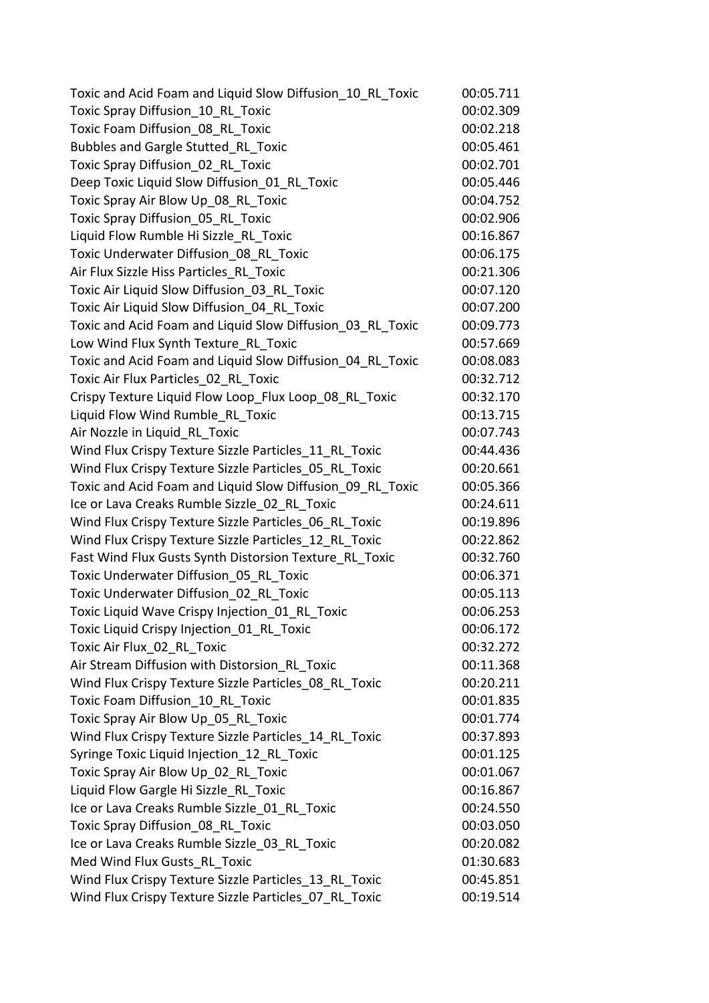| Toxic and Acid Foam and Liquid Slow Diffusion 10 RL Toxic | 00:05.711 |
|-----------------------------------------------------------|-----------|
| Toxic Spray Diffusion 10 RL Toxic                         | 00:02.309 |
| Toxic Foam Diffusion 08 RL Toxic                          | 00:02.218 |
| Bubbles and Gargle Stutted RL Toxic                       | 00:05.461 |
| Toxic Spray Diffusion 02 RL Toxic                         | 00:02.701 |
| Deep Toxic Liquid Slow Diffusion 01 RL Toxic              | 00:05.446 |
| Toxic Spray Air Blow Up 08 RL Toxic                       | 00:04.752 |
| Toxic Spray Diffusion 05 RL Toxic                         | 00:02.906 |
| Liquid Flow Rumble Hi Sizzle RL Toxic                     | 00:16.867 |
| Toxic Underwater Diffusion 08 RL Toxic                    | 00:06.175 |
| Air Flux Sizzle Hiss Particles RL Toxic                   | 00:21.306 |
| Toxic Air Liquid Slow Diffusion 03 RL Toxic               | 00:07.120 |
| Toxic Air Liquid Slow Diffusion 04 RL Toxic               | 00:07.200 |
| Toxic and Acid Foam and Liquid Slow Diffusion 03 RL Toxic | 00:09.773 |
| Low Wind Flux Synth Texture RL Toxic                      | 00:57.669 |
| Toxic and Acid Foam and Liquid Slow Diffusion 04 RL Toxic | 00:08.083 |
| Toxic Air Flux Particles 02 RL Toxic                      | 00:32.712 |
| Crispy Texture Liquid Flow Loop Flux Loop 08 RL Toxic     | 00:32.170 |
| Liquid Flow Wind Rumble RL Toxic                          | 00:13.715 |
| Air Nozzle in Liquid RL Toxic                             | 00:07.743 |
| Wind Flux Crispy Texture Sizzle Particles 11 RL Toxic     | 00:44.436 |
| Wind Flux Crispy Texture Sizzle Particles 05 RL Toxic     | 00:20.661 |
| Toxic and Acid Foam and Liquid Slow Diffusion 09 RL Toxic | 00:05.366 |
| Ice or Lava Creaks Rumble Sizzle 02 RL Toxic              | 00:24.611 |
| Wind Flux Crispy Texture Sizzle Particles 06 RL Toxic     | 00:19.896 |
| Wind Flux Crispy Texture Sizzle Particles 12 RL Toxic     | 00:22.862 |
| Fast Wind Flux Gusts Synth Distorsion Texture RL Toxic    | 00:32.760 |
| Toxic Underwater Diffusion 05 RL Toxic                    | 00:06.371 |
| Toxic Underwater Diffusion 02 RL Toxic                    | 00:05.113 |
| Toxic Liquid Wave Crispy Injection 01 RL Toxic            | 00:06.253 |
| Toxic Liquid Crispy Injection 01 RL Toxic                 | 00:06.172 |
| Toxic Air Flux 02 RL Toxic                                | 00:32.272 |
| Air Stream Diffusion with Distorsion RL Toxic             | 00:11.368 |
| Wind Flux Crispy Texture Sizzle Particles 08 RL Toxic     | 00:20.211 |
| Toxic Foam Diffusion 10 RL Toxic                          | 00:01.835 |
| Toxic Spray Air Blow Up 05 RL Toxic                       | 00:01.774 |
| Wind Flux Crispy Texture Sizzle Particles 14 RL Toxic     | 00:37.893 |
| Syringe Toxic Liquid Injection 12 RL Toxic                | 00:01.125 |
| Toxic Spray Air Blow Up 02 RL Toxic                       | 00:01.067 |
| Liquid Flow Gargle Hi Sizzle RL Toxic                     | 00:16.867 |
| Ice or Lava Creaks Rumble Sizzle 01 RL Toxic              | 00:24.550 |
| Toxic Spray Diffusion 08 RL Toxic                         | 00:03.050 |
| Ice or Lava Creaks Rumble Sizzle 03 RL Toxic              | 00:20.082 |
| Med Wind Flux Gusts RL Toxic                              | 01:30.683 |
| Wind Flux Crispy Texture Sizzle Particles_13_RL_Toxic     | 00:45.851 |
| Wind Flux Crispy Texture Sizzle Particles_07_RL_Toxic     | 00:19.514 |
|                                                           |           |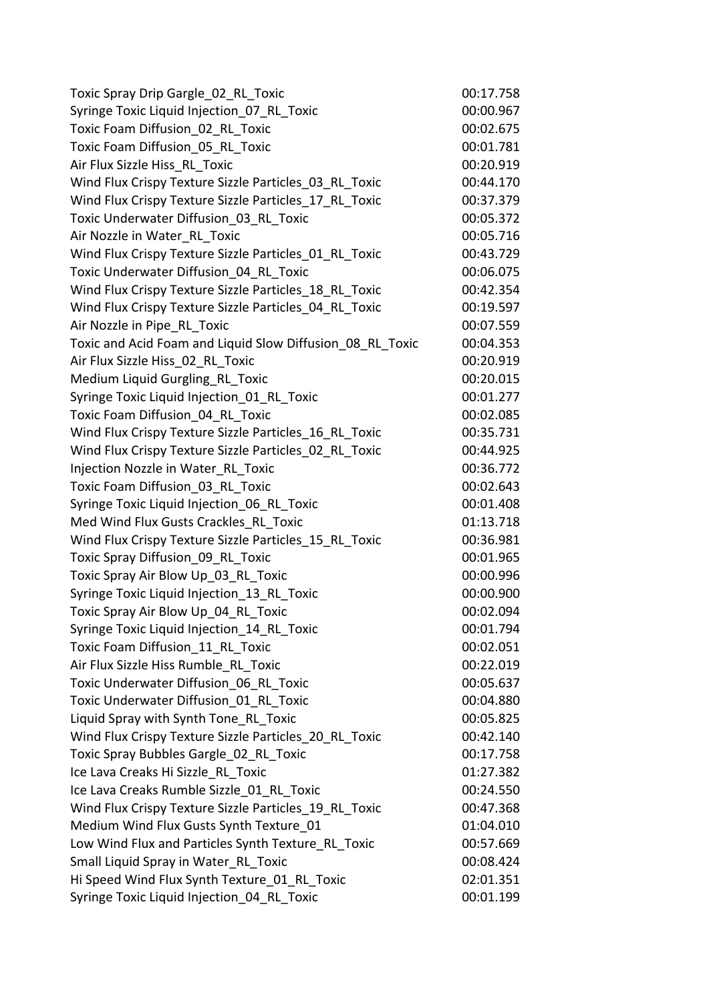| Toxic Spray Drip Gargle 02 RL Toxic                       | 00:17.758 |
|-----------------------------------------------------------|-----------|
| Syringe Toxic Liquid Injection 07 RL Toxic                | 00:00.967 |
| Toxic Foam Diffusion 02 RL Toxic                          | 00:02.675 |
| Toxic Foam Diffusion 05 RL Toxic                          | 00:01.781 |
| Air Flux Sizzle Hiss RL Toxic                             | 00:20.919 |
| Wind Flux Crispy Texture Sizzle Particles 03 RL Toxic     | 00:44.170 |
| Wind Flux Crispy Texture Sizzle Particles 17 RL Toxic     | 00:37.379 |
| Toxic Underwater Diffusion 03 RL Toxic                    | 00:05.372 |
| Air Nozzle in Water RL Toxic                              | 00:05.716 |
| Wind Flux Crispy Texture Sizzle Particles 01 RL Toxic     | 00:43.729 |
| Toxic Underwater Diffusion 04 RL Toxic                    | 00:06.075 |
| Wind Flux Crispy Texture Sizzle Particles 18 RL Toxic     | 00:42.354 |
| Wind Flux Crispy Texture Sizzle Particles 04 RL Toxic     | 00:19.597 |
| Air Nozzle in Pipe RL Toxic                               | 00:07.559 |
| Toxic and Acid Foam and Liquid Slow Diffusion 08 RL Toxic | 00:04.353 |
| Air Flux Sizzle Hiss 02 RL Toxic                          | 00:20.919 |
| Medium Liquid Gurgling RL Toxic                           | 00:20.015 |
| Syringe Toxic Liquid Injection 01 RL Toxic                | 00:01.277 |
| Toxic Foam Diffusion 04 RL Toxic                          | 00:02.085 |
| Wind Flux Crispy Texture Sizzle Particles 16 RL Toxic     | 00:35.731 |
| Wind Flux Crispy Texture Sizzle Particles 02 RL Toxic     | 00:44.925 |
| Injection Nozzle in Water RL Toxic                        | 00:36.772 |
| Toxic Foam Diffusion 03 RL Toxic                          | 00:02.643 |
| Syringe Toxic Liquid Injection 06 RL Toxic                | 00:01.408 |
| Med Wind Flux Gusts Crackles RL Toxic                     | 01:13.718 |
| Wind Flux Crispy Texture Sizzle Particles 15 RL Toxic     | 00:36.981 |
| Toxic Spray Diffusion_09_RL_Toxic                         | 00:01.965 |
| Toxic Spray Air Blow Up 03 RL Toxic                       | 00:00.996 |
| Syringe Toxic Liquid Injection 13 RL Toxic                | 00:00.900 |
| Toxic Spray Air Blow Up_04_RL_Toxic                       | 00:02.094 |
| Syringe Toxic Liquid Injection 14 RL Toxic                | 00:01.794 |
| Toxic Foam Diffusion 11 RL Toxic                          | 00:02.051 |
| Air Flux Sizzle Hiss Rumble RL Toxic                      | 00:22.019 |
| Toxic Underwater Diffusion 06 RL Toxic                    | 00:05.637 |
| Toxic Underwater Diffusion 01 RL Toxic                    | 00:04.880 |
| Liquid Spray with Synth Tone RL Toxic                     | 00:05.825 |
| Wind Flux Crispy Texture Sizzle Particles 20 RL Toxic     | 00:42.140 |
| Toxic Spray Bubbles Gargle 02 RL Toxic                    | 00:17.758 |
| Ice Lava Creaks Hi Sizzle RL Toxic                        | 01:27.382 |
| Ice Lava Creaks Rumble Sizzle 01 RL Toxic                 | 00:24.550 |
| Wind Flux Crispy Texture Sizzle Particles 19 RL Toxic     | 00:47.368 |
| Medium Wind Flux Gusts Synth Texture 01                   | 01:04.010 |
| Low Wind Flux and Particles Synth Texture RL Toxic        | 00:57.669 |
| Small Liquid Spray in Water RL Toxic                      | 00:08.424 |
| Hi Speed Wind Flux Synth Texture 01 RL Toxic              | 02:01.351 |
| Syringe Toxic Liquid Injection_04_RL_Toxic                | 00:01.199 |
|                                                           |           |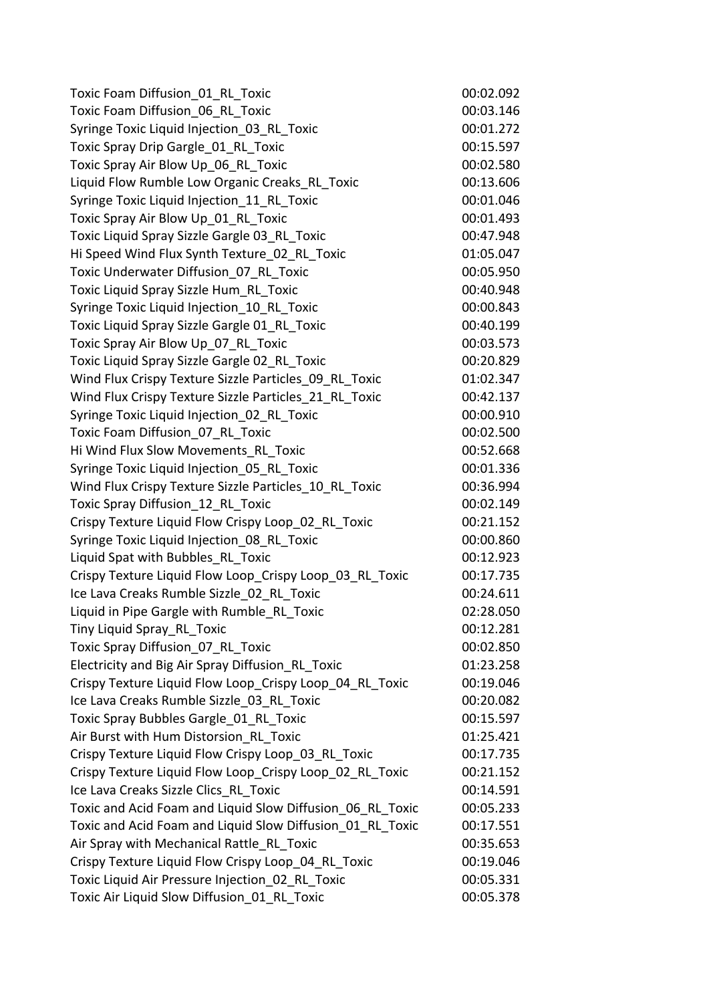| Toxic Foam Diffusion 01 RL Toxic                          | 00:02.092 |
|-----------------------------------------------------------|-----------|
| Toxic Foam Diffusion 06 RL Toxic                          | 00:03.146 |
| Syringe Toxic Liquid Injection 03 RL Toxic                | 00:01.272 |
| Toxic Spray Drip Gargle 01 RL Toxic                       | 00:15.597 |
| Toxic Spray Air Blow Up 06 RL Toxic                       | 00:02.580 |
| Liquid Flow Rumble Low Organic Creaks RL Toxic            | 00:13.606 |
| Syringe Toxic Liquid Injection 11 RL Toxic                | 00:01.046 |
| Toxic Spray Air Blow Up 01 RL Toxic                       | 00:01.493 |
| Toxic Liquid Spray Sizzle Gargle 03 RL Toxic              | 00:47.948 |
| Hi Speed Wind Flux Synth Texture 02 RL Toxic              | 01:05.047 |
| Toxic Underwater Diffusion 07 RL Toxic                    | 00:05.950 |
| Toxic Liquid Spray Sizzle Hum RL Toxic                    | 00:40.948 |
| Syringe Toxic Liquid Injection 10 RL Toxic                | 00:00.843 |
| Toxic Liquid Spray Sizzle Gargle 01 RL Toxic              | 00:40.199 |
| Toxic Spray Air Blow Up 07 RL Toxic                       | 00:03.573 |
| Toxic Liquid Spray Sizzle Gargle 02 RL Toxic              | 00:20.829 |
| Wind Flux Crispy Texture Sizzle Particles 09 RL Toxic     | 01:02.347 |
| Wind Flux Crispy Texture Sizzle Particles 21 RL Toxic     | 00:42.137 |
| Syringe Toxic Liquid Injection 02 RL Toxic                | 00:00.910 |
| Toxic Foam Diffusion 07 RL Toxic                          | 00:02.500 |
| Hi Wind Flux Slow Movements RL Toxic                      | 00:52.668 |
| Syringe Toxic Liquid Injection 05 RL Toxic                | 00:01.336 |
| Wind Flux Crispy Texture Sizzle Particles 10 RL Toxic     | 00:36.994 |
| Toxic Spray Diffusion_12_RL_Toxic                         | 00:02.149 |
| Crispy Texture Liquid Flow Crispy Loop 02 RL Toxic        | 00:21.152 |
| Syringe Toxic Liquid Injection 08 RL Toxic                | 00:00.860 |
| Liquid Spat with Bubbles RL Toxic                         | 00:12.923 |
| Crispy Texture Liquid Flow Loop Crispy Loop 03 RL Toxic   | 00:17.735 |
| Ice Lava Creaks Rumble Sizzle 02 RL Toxic                 | 00:24.611 |
| Liquid in Pipe Gargle with Rumble_RL_Toxic                | 02:28.050 |
| Tiny Liquid Spray RL Toxic                                | 00:12.281 |
| Toxic Spray Diffusion 07 RL Toxic                         | 00:02.850 |
| Electricity and Big Air Spray Diffusion RL Toxic          | 01:23.258 |
| Crispy Texture Liquid Flow Loop Crispy Loop 04 RL Toxic   | 00:19.046 |
| Ice Lava Creaks Rumble Sizzle 03 RL Toxic                 | 00:20.082 |
| Toxic Spray Bubbles Gargle 01 RL Toxic                    | 00:15.597 |
| Air Burst with Hum Distorsion RL Toxic                    | 01:25.421 |
| Crispy Texture Liquid Flow Crispy Loop 03 RL Toxic        | 00:17.735 |
| Crispy Texture Liquid Flow Loop Crispy Loop 02 RL Toxic   | 00:21.152 |
| Ice Lava Creaks Sizzle Clics RL Toxic                     | 00:14.591 |
| Toxic and Acid Foam and Liquid Slow Diffusion 06 RL Toxic | 00:05.233 |
| Toxic and Acid Foam and Liquid Slow Diffusion 01 RL Toxic | 00:17.551 |
| Air Spray with Mechanical Rattle RL Toxic                 | 00:35.653 |
| Crispy Texture Liquid Flow Crispy Loop 04 RL Toxic        | 00:19.046 |
| Toxic Liquid Air Pressure Injection 02 RL Toxic           | 00:05.331 |
| Toxic Air Liquid Slow Diffusion 01 RL Toxic               | 00:05.378 |
|                                                           |           |